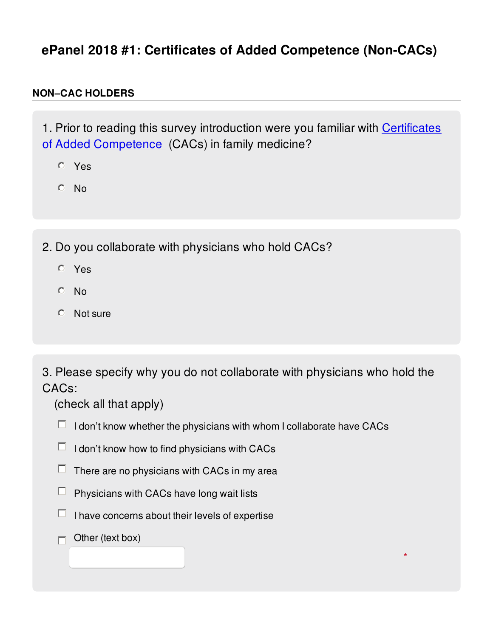## **ePanel 2018 #1: Certificates of Added Competence (Non-CACs)**

## **NON–CAC HOLDERS**

1. Prior to reading this survey introduction were you familiar with Certificates of Added [Competence](http://www.cfpc.ca/cac/) (CACs) in family medicine?

- Yes
- $O$  No

2. Do you collaborate with physicians who hold CACs?

- Yes
- $O$  No
- $O$  Not sure

 3. Please specify why you do not collaborate with physicians who hold the CACs:

**\***

(check all that apply)

- I don't know whether the physicians with whom I collaborate have CACs
- I don't know how to find physicians with CACs
- There are no physicians with CACs in my area
- $\Box$ Physicians with CACs have long wait lists
- I have concerns about their levels of expertise
- Other (text box) П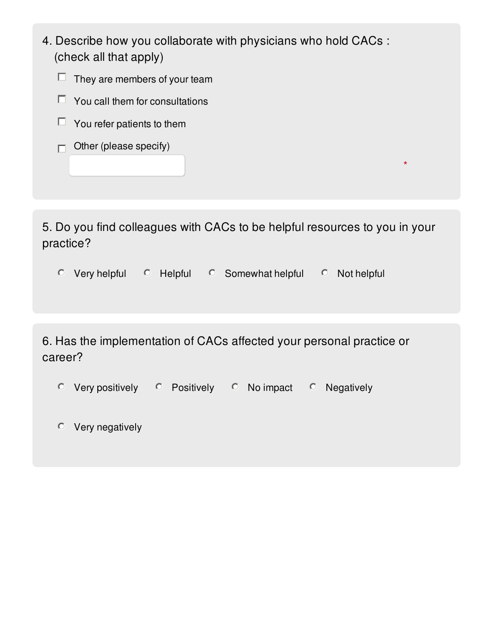- 4. Describe how you collaborate with physicians who hold CACs : (check all that apply)
	- They are members of your team
	- You call them for consultations
	- You refer patients to them
	- Other (please specify)

 5. Do you find colleagues with CACs to be helpful resources to you in your practice?

**\***

 $\degree$  Very helpful  $\degree$  Helpful  $\degree$  Somewhat helpful  $\degree$  Not helpful

 6. Has the implementation of CACs affected your personal practice or career?

- $\degree$  Very positively  $\degree$  Positively  $\degree$  No impact  $\degree$  Negatively
- Very negatively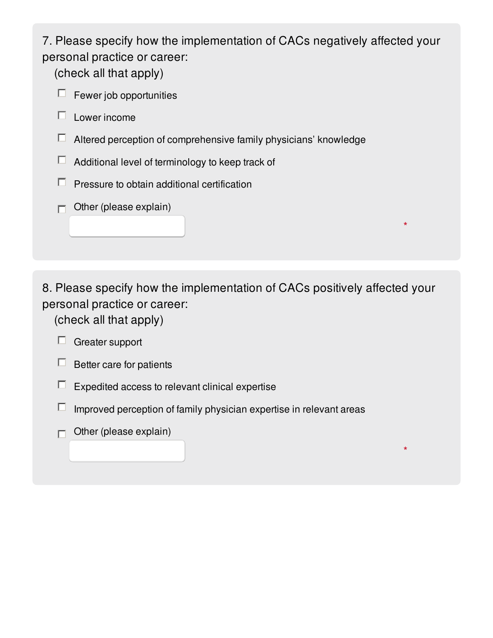7. Please specify how the implementation of CACs negatively affected your personal practice or career:

(check all that apply)

- Fewer job opportunities
- Lower income П.
- $\Box$ Altered perception of comprehensive family physicians' knowledge
- $\Box$ Additional level of terminology to keep track of
- $\Box$ Pressure to obtain additional certification
- Other (please explain)  $\Box$

 8. Please specify how the implementation of CACs positively affected your personal practice or career:

**\***

**\***

(check all that apply)

## $\Box$  Greater support

- Better care for patients
- $\Box$ Expedited access to relevant clinical expertise
- $\Box$ Improved perception of family physician expertise in relevant areas
- Other (please explain)  $\Box$